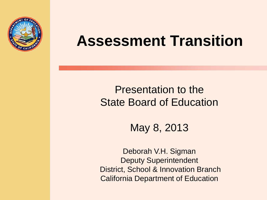

# **Assessment Transition**

## Presentation to the State Board of Education

May 8, 2013

Deborah V.H. Sigman Deputy Superintendent District, School & Innovation Branch California Department of Education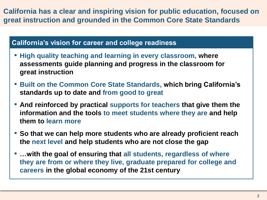**California has a clear and inspiring vision for public education, focused on great instruction and grounded in the Common Core State Standards**

## **California's vision for career and college readiness**

- **High quality teaching and learning in every classroom, where assessments guide planning and progress in the classroom for great instruction**
- **Built on the Common Core State Standards, which bring California's standards up to date and from good to great**
- **EXTERPT And reinforced by practical supports for teachers that give them the information and the tools to meet students where they are and help them to learn more**
- **So that we can help more students who are already proficient reach the next level and help students who are not close the gap**
- …with the goal of ensuring that all students, regardless of where **they are from or where they live, graduate prepared for college and careers in the global economy of the 21st century**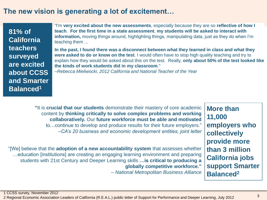## **The new vision is generating a lot of excitement…**

**81% of California teachers surveyed are excited about CCSS and Smarter Balanced<sup>1</sup>**

*"*I'm **very excited about the new assessments**, especially because they are so **reflective of how I teach**. **For the first time in a state assessment**, **my students will be asked to interact with information,** moving things around, highlighting things, manipulating data, just as they do when I'm teaching them ...

**In the past, I found there was a disconnect between what they learned in class and what they were asked to do or know on the test**. I would often have to stop high quality teaching and try to explain how they would be asked about this on the test. Really, **only about 50% of the test looked like the kinds of work students did in my classroom**."

*–Rebecca Mieliwocki, 2012 California and National Teacher of the Year*

**More than "**It is **crucial that our students** demonstrate their mastery of core academic content by **thinking critically to solve complex problems and working collaboratively.** Our **future workforce must be able and motivated**  to…continue to develop and produce results for their future employers." *–CA's 20 business and economic development entities, joint letter*

**11,000 employers who collectively provide more than 3 million California jobs support Smarter Balanced<sup>2</sup>**

"[We] believe that the **adoption of a new accountability system** that assesses whether …education [institutions] are creating an engaging learning environment and preparing students with 21st Century and Deeper Learning skills **…is critical to producing a globally competitive workforce."**

*– National Metropolitan Business Alliance*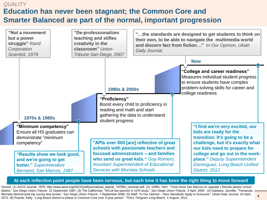## **Education has never been stagnant; the Common Core and Smarter Balanced are part of the normal, important progression** *QUALITY*



#### **At each inflection point people have been nervous, but each time it has been the right thing to move forward**

Source: (1) ASCD Journal, 1979, http://www.ascd.org/ASCD/pdf/journals/ed\_lead/el\_197905\_newman.pdf; (2) Griffin, Vern. "Tests show San Marcos on upgrade | Results please school district." *San Diego Union-Tribune*. 22 September 1987; (3) The Californian. "NCLB law panned in UCR study." *San Diego Union-Tribune.* 3 April, 2009. (4) Kabbany, Jennifer. "Temecula, Murrieta districts post top county test scores." *San Diego Union-Tribune*. 1 September 2006; (5) Staff. "In Our Opinion – New Standards Apply to Everyone*". Ukiah Daily Journal*. 20 April, 2013. (6) Puente, Kelly. "Long Beach district to phase in Common Core over 3-year period." *Press Telegram Long Beach.* 4 August, 2012.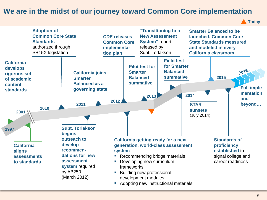## **We are in the midst of our journey toward Common Core implementation**

**Today**

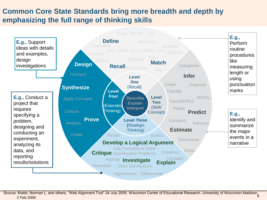## **Common Core State Standards bring more breadth and depth by emphasizing the full range of thinking skills**

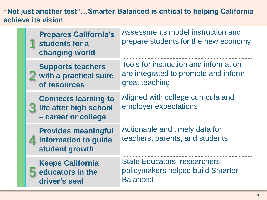**"Not just another test"…Smarter Balanced is critical to helping California achieve its vision**

| <b>Prepares California's</b><br>students for a<br>changing world             | Assessments model instruction and<br>prepare students for the new economy                       |
|------------------------------------------------------------------------------|-------------------------------------------------------------------------------------------------|
| <b>Supports teachers</b><br>with a practical suite<br>of resources           | Tools for instruction and information<br>are integrated to promote and inform<br>great teaching |
| <b>Connects learning to</b><br>life after high school<br>- career or college | Aligned with college curricula and<br>employer expectations                                     |
| <b>Provides meaningful</b><br>4 information to guide<br>student growth       | Actionable and timely data for<br>teachers, parents, and students                               |
| <b>Keeps California</b><br>educators in the<br>driver's seat                 | State Educators, researchers,<br>policymakers helped build Smarter<br><b>Balanced</b>           |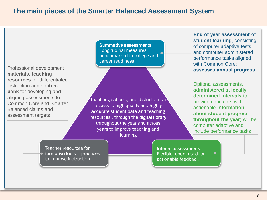### **The main pieces of the Smarter Balanced Assessment System**

Professional development **materials**, **teaching resources** for differentiated instruction and an **item bank** for developing and aligning assessments to Common Core and Smarter Balanced claims and assessment targets

Summative assessments Longitudinal measures benchmarked to college and career readiness

Teachers, schools, and districts have access to high quality and highly accurate student data and teaching resources , through the digital library throughout the year and across years to improve teaching and learning

**End of year assessment of student learning**, consisting of computer adaptive tests and computer administered performance tasks aligned with Common Core; **assesses annual progress**

Optional assessments, **administered at locally determined intervals** to provide educators with actionable **information about student progress throughout the year**; will be computer adaptive and include performance tasks

Teacher resources for formative tools – practices to improve instruction

Interim assessments Flexible, open, used for actionable feedback